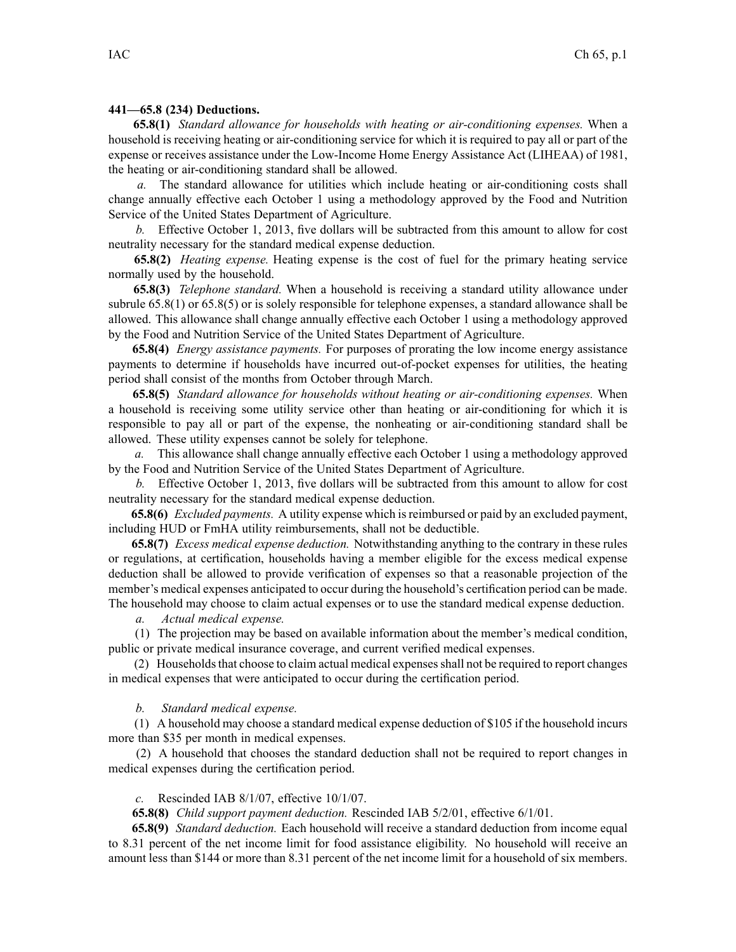## **441—65.8 (234) Deductions.**

**65.8(1)** *Standard allowance for households with heating or air-conditioning expenses.* When <sup>a</sup> household is receiving heating or air-conditioning service for which it is required to pay all or par<sup>t</sup> of the expense or receives assistance under the Low-Income Home Energy Assistance Act (LIHEAA) of 1981, the heating or air-conditioning standard shall be allowed.

*a.* The standard allowance for utilities which include heating or air-conditioning costs shall change annually effective each October 1 using <sup>a</sup> methodology approved by the Food and Nutrition Service of the United States Department of Agriculture.

*b.* Effective October 1, 2013, five dollars will be subtracted from this amount to allow for cost neutrality necessary for the standard medical expense deduction.

**65.8(2)** *Heating expense.* Heating expense is the cost of fuel for the primary heating service normally used by the household.

**65.8(3)** *Telephone standard.* When <sup>a</sup> household is receiving <sup>a</sup> standard utility allowance under subrule 65.8(1) or 65.8(5) or is solely responsible for telephone expenses, <sup>a</sup> standard allowance shall be allowed. This allowance shall change annually effective each October 1 using <sup>a</sup> methodology approved by the Food and Nutrition Service of the United States Department of Agriculture.

**65.8(4)** *Energy assistance payments.* For purposes of prorating the low income energy assistance payments to determine if households have incurred out-of-pocket expenses for utilities, the heating period shall consist of the months from October through March.

**65.8(5)** *Standard allowance for households without heating or air-conditioning expenses.* When <sup>a</sup> household is receiving some utility service other than heating or air-conditioning for which it is responsible to pay all or par<sup>t</sup> of the expense, the nonheating or air-conditioning standard shall be allowed. These utility expenses cannot be solely for telephone.

*a.* This allowance shall change annually effective each October 1 using <sup>a</sup> methodology approved by the Food and Nutrition Service of the United States Department of Agriculture.

*b.* Effective October 1, 2013, five dollars will be subtracted from this amount to allow for cost neutrality necessary for the standard medical expense deduction.

**65.8(6)** *Excluded payments.* A utility expense which isreimbursed or paid by an excluded payment, including HUD or FmHA utility reimbursements, shall not be deductible.

**65.8(7)** *Excess medical expense deduction.* Notwithstanding anything to the contrary in these rules or regulations, at certification, households having <sup>a</sup> member eligible for the excess medical expense deduction shall be allowed to provide verification of expenses so that <sup>a</sup> reasonable projection of the member's medical expenses anticipated to occur during the household's certification period can be made. The household may choose to claim actual expenses or to use the standard medical expense deduction.

*a. Actual medical expense.*

(1) The projection may be based on available information about the member's medical condition, public or private medical insurance coverage, and current verified medical expenses.

(2) Householdsthat choose to claim actual medical expensesshall not be required to repor<sup>t</sup> changes in medical expenses that were anticipated to occur during the certification period.

## *b. Standard medical expense.*

(1) A household may choose <sup>a</sup> standard medical expense deduction of \$105 if the household incurs more than \$35 per month in medical expenses.

(2) A household that chooses the standard deduction shall not be required to repor<sup>t</sup> changes in medical expenses during the certification period.

## *c.* Rescinded IAB 8/1/07, effective 10/1/07.

**65.8(8)** *Child suppor<sup>t</sup> paymen<sup>t</sup> deduction.* Rescinded IAB 5/2/01, effective 6/1/01.

**65.8(9)** *Standard deduction.* Each household will receive <sup>a</sup> standard deduction from income equal to 8.31 percen<sup>t</sup> of the net income limit for food assistance eligibility. No household will receive an amount less than \$144 or more than 8.31 percen<sup>t</sup> of the net income limit for <sup>a</sup> household of six members.